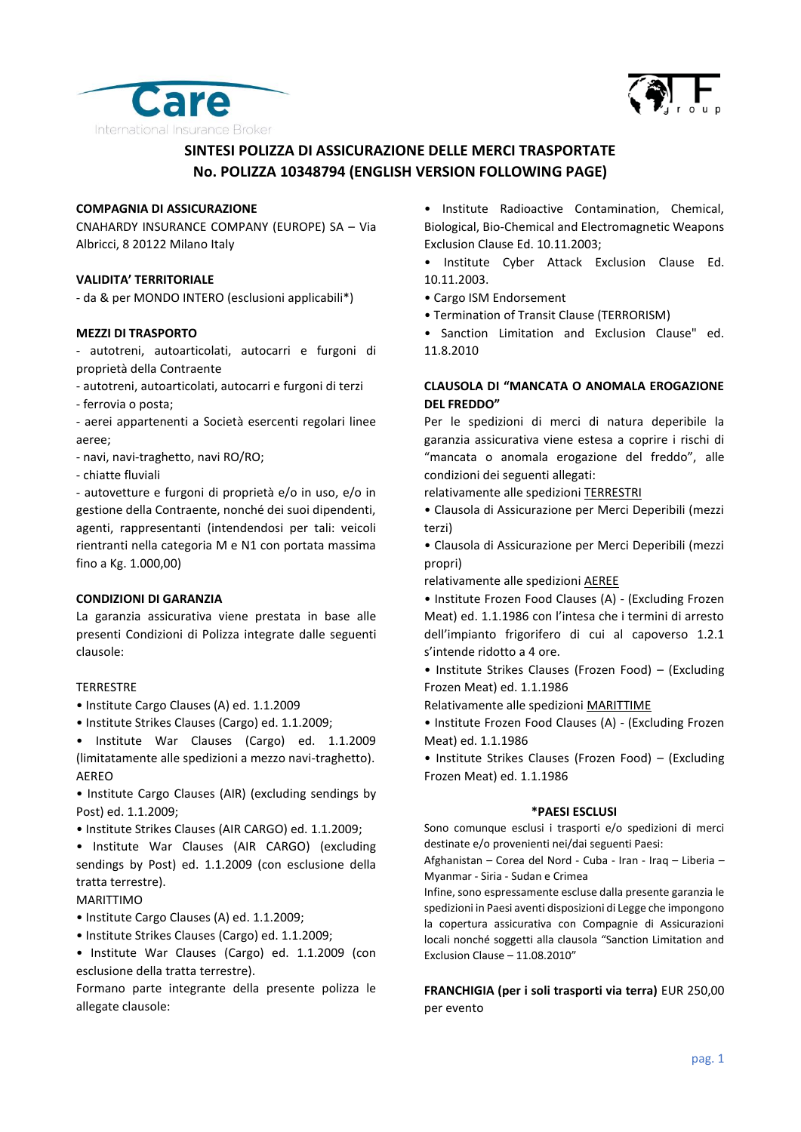



# **SINTESI POLIZZA DI ASSICURAZIONE DELLE MERCI TRASPORTATE No. POLIZZA 10348794 (ENGLISH VERSION FOLLOWING PAGE)**

#### **COMPAGNIA DI ASSICURAZIONE**

CNAHARDY INSURANCE COMPANY (EUROPE) SA – Via Albricci, 8 20122 Milano Italy

### **VALIDITA' TERRITORIALE**

- da & per MONDO INTERO (esclusioni applicabili\*)

#### **MEZZI DI TRASPORTO**

- autotreni, autoarticolati, autocarri e furgoni di proprietà della Contraente

- autotreni, autoarticolati, autocarri e furgoni di terzi
- ferrovia o posta;

- aerei appartenenti a Società esercenti regolari linee aeree;

- navi, navi-traghetto, navi RO/RO;
- chiatte fluviali

- autovetture e furgoni di proprietà e/o in uso, e/o in gestione della Contraente, nonché dei suoi dipendenti, agenti, rappresentanti (intendendosi per tali: veicoli rientranti nella categoria M e N1 con portata massima fino a Kg. 1.000,00)

### **CONDIZIONI DI GARANZIA**

La garanzia assicurativa viene prestata in base alle presenti Condizioni di Polizza integrate dalle seguenti clausole:

## **TERRESTRE**

- Institute Cargo Clauses (A) ed. 1.1.2009
- Institute Strikes Clauses (Cargo) ed. 1.1.2009;

• Institute War Clauses (Cargo) ed. 1.1.2009 (limitatamente alle spedizioni a mezzo navi-traghetto). AEREO

• Institute Cargo Clauses (AIR) (excluding sendings by Post) ed. 1.1.2009;

• Institute Strikes Clauses (AIR CARGO) ed. 1.1.2009;

• Institute War Clauses (AIR CARGO) (excluding sendings by Post) ed. 1.1.2009 (con esclusione della tratta terrestre).

MARITTIMO

- Institute Cargo Clauses (A) ed. 1.1.2009;
- Institute Strikes Clauses (Cargo) ed. 1.1.2009;

• Institute War Clauses (Cargo) ed. 1.1.2009 (con esclusione della tratta terrestre).

Formano parte integrante della presente polizza le allegate clausole:

• Institute Radioactive Contamination, Chemical, Biological, Bio-Chemical and Electromagnetic Weapons Exclusion Clause Ed. 10.11.2003;

• Institute Cyber Attack Exclusion Clause Ed. 10.11.2003.

- Cargo ISM Endorsement
- Termination of Transit Clause (TERRORISM)

• Sanction Limitation and Exclusion Clause" ed. 11.8.2010

# **CLAUSOLA DI "MANCATA O ANOMALA EROGAZIONE DEL FREDDO"**

Per le spedizioni di merci di natura deperibile la garanzia assicurativa viene estesa a coprire i rischi di "mancata o anomala erogazione del freddo", alle condizioni dei seguenti allegati:

relativamente alle spedizioni TERRESTRI

• Clausola di Assicurazione per Merci Deperibili (mezzi terzi)

• Clausola di Assicurazione per Merci Deperibili (mezzi propri)

relativamente alle spedizioni AEREE

• Institute Frozen Food Clauses (A) - (Excluding Frozen Meat) ed. 1.1.1986 con l'intesa che i termini di arresto dell'impianto frigorifero di cui al capoverso 1.2.1 s'intende ridotto a 4 ore.

• Institute Strikes Clauses (Frozen Food) – (Excluding Frozen Meat) ed. 1.1.1986

Relativamente alle spedizioni MARITTIME

• Institute Frozen Food Clauses (A) - (Excluding Frozen Meat) ed. 1.1.1986

• Institute Strikes Clauses (Frozen Food) – (Excluding Frozen Meat) ed. 1.1.1986

#### **\*PAESI ESCLUSI**

Sono comunque esclusi i trasporti e/o spedizioni di merci destinate e/o provenienti nei/dai seguenti Paesi:

Afghanistan – Corea del Nord - Cuba - Iran - Iraq – Liberia – Myanmar - Siria - Sudan e Crimea

Infine, sono espressamente escluse dalla presente garanzia le spedizioni in Paesi aventi disposizioni di Legge che impongono la copertura assicurativa con Compagnie di Assicurazioni locali nonché soggetti alla clausola "Sanction Limitation and Exclusion Clause – 11.08.2010"

**FRANCHIGIA (per i soli trasporti via terra)** EUR 250,00 per evento